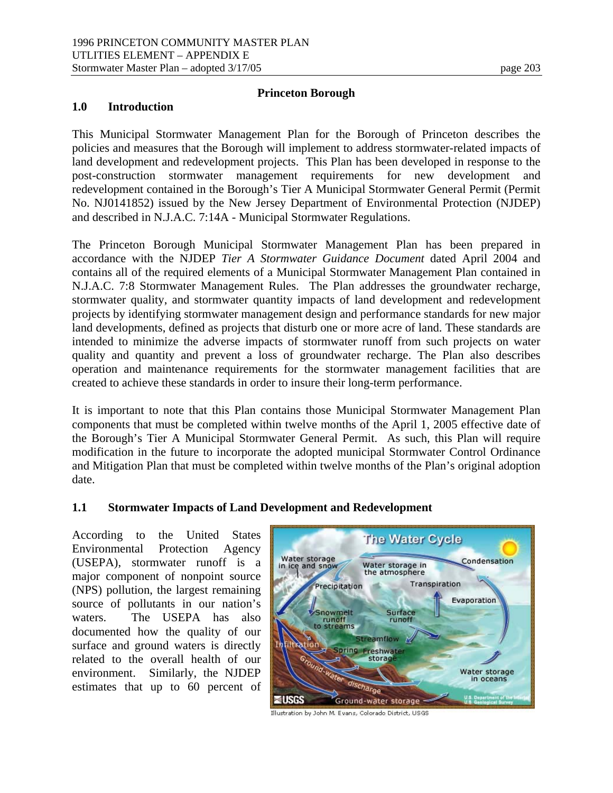## **Princeton Borough**

#### **1.0 Introduction**

This Municipal Stormwater Management Plan for the Borough of Princeton describes the policies and measures that the Borough will implement to address stormwater-related impacts of land development and redevelopment projects. This Plan has been developed in response to the post-construction stormwater management requirements for new development and redevelopment contained in the Borough's Tier A Municipal Stormwater General Permit (Permit No. NJ0141852) issued by the New Jersey Department of Environmental Protection (NJDEP) and described in N.J.A.C. 7:14A - Municipal Stormwater Regulations.

The Princeton Borough Municipal Stormwater Management Plan has been prepared in accordance with the NJDEP *Tier A Stormwater Guidance Document* dated April 2004 and contains all of the required elements of a Municipal Stormwater Management Plan contained in N.J.A.C. 7:8 Stormwater Management Rules. The Plan addresses the groundwater recharge, stormwater quality, and stormwater quantity impacts of land development and redevelopment projects by identifying stormwater management design and performance standards for new major land developments, defined as projects that disturb one or more acre of land. These standards are intended to minimize the adverse impacts of stormwater runoff from such projects on water quality and quantity and prevent a loss of groundwater recharge. The Plan also describes operation and maintenance requirements for the stormwater management facilities that are created to achieve these standards in order to insure their long-term performance.

It is important to note that this Plan contains those Municipal Stormwater Management Plan components that must be completed within twelve months of the April 1, 2005 effective date of the Borough's Tier A Municipal Stormwater General Permit. As such, this Plan will require modification in the future to incorporate the adopted municipal Stormwater Control Ordinance and Mitigation Plan that must be completed within twelve months of the Plan's original adoption date.

#### **1.1 Stormwater Impacts of Land Development and Redevelopment**

According to the United States Environmental Protection Agency (USEPA), stormwater runoff is a major component of nonpoint source (NPS) pollution, the largest remaining source of pollutants in our nation's waters. The USEPA has also documented how the quality of our surface and ground waters is directly related to the overall health of our environment. Similarly, the NJDEP estimates that up to 60 percent of



Illustration by John M. Evans, Colorado District, USGS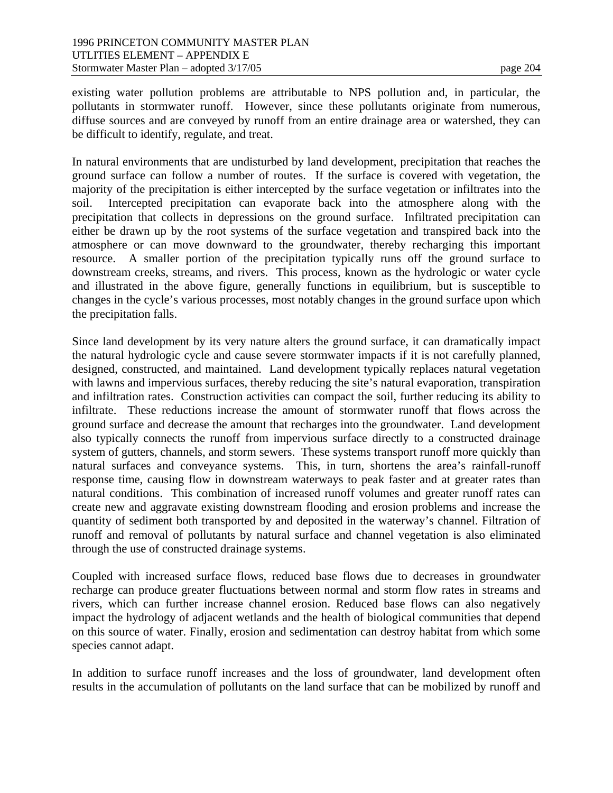existing water pollution problems are attributable to NPS pollution and, in particular, the pollutants in stormwater runoff. However, since these pollutants originate from numerous, diffuse sources and are conveyed by runoff from an entire drainage area or watershed, they can be difficult to identify, regulate, and treat.

In natural environments that are undisturbed by land development, precipitation that reaches the ground surface can follow a number of routes. If the surface is covered with vegetation, the majority of the precipitation is either intercepted by the surface vegetation or infiltrates into the soil. Intercepted precipitation can evaporate back into the atmosphere along with the precipitation that collects in depressions on the ground surface. Infiltrated precipitation can either be drawn up by the root systems of the surface vegetation and transpired back into the atmosphere or can move downward to the groundwater, thereby recharging this important resource. A smaller portion of the precipitation typically runs off the ground surface to downstream creeks, streams, and rivers. This process, known as the hydrologic or water cycle and illustrated in the above figure, generally functions in equilibrium, but is susceptible to changes in the cycle's various processes, most notably changes in the ground surface upon which the precipitation falls.

Since land development by its very nature alters the ground surface, it can dramatically impact the natural hydrologic cycle and cause severe stormwater impacts if it is not carefully planned, designed, constructed, and maintained. Land development typically replaces natural vegetation with lawns and impervious surfaces, thereby reducing the site's natural evaporation, transpiration and infiltration rates. Construction activities can compact the soil, further reducing its ability to infiltrate. These reductions increase the amount of stormwater runoff that flows across the ground surface and decrease the amount that recharges into the groundwater. Land development also typically connects the runoff from impervious surface directly to a constructed drainage system of gutters, channels, and storm sewers. These systems transport runoff more quickly than natural surfaces and conveyance systems. This, in turn, shortens the area's rainfall-runoff response time, causing flow in downstream waterways to peak faster and at greater rates than natural conditions. This combination of increased runoff volumes and greater runoff rates can create new and aggravate existing downstream flooding and erosion problems and increase the quantity of sediment both transported by and deposited in the waterway's channel. Filtration of runoff and removal of pollutants by natural surface and channel vegetation is also eliminated through the use of constructed drainage systems.

Coupled with increased surface flows, reduced base flows due to decreases in groundwater recharge can produce greater fluctuations between normal and storm flow rates in streams and rivers, which can further increase channel erosion. Reduced base flows can also negatively impact the hydrology of adjacent wetlands and the health of biological communities that depend on this source of water. Finally, erosion and sedimentation can destroy habitat from which some species cannot adapt.

In addition to surface runoff increases and the loss of groundwater, land development often results in the accumulation of pollutants on the land surface that can be mobilized by runoff and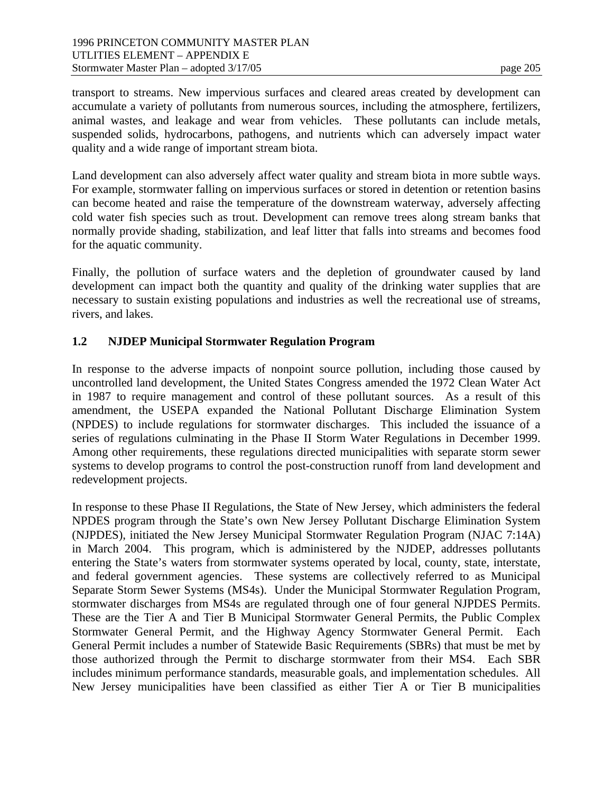transport to streams. New impervious surfaces and cleared areas created by development can accumulate a variety of pollutants from numerous sources, including the atmosphere, fertilizers, animal wastes, and leakage and wear from vehicles. These pollutants can include metals, suspended solids, hydrocarbons, pathogens, and nutrients which can adversely impact water quality and a wide range of important stream biota.

Land development can also adversely affect water quality and stream biota in more subtle ways. For example, stormwater falling on impervious surfaces or stored in detention or retention basins can become heated and raise the temperature of the downstream waterway, adversely affecting cold water fish species such as trout. Development can remove trees along stream banks that normally provide shading, stabilization, and leaf litter that falls into streams and becomes food for the aquatic community.

Finally, the pollution of surface waters and the depletion of groundwater caused by land development can impact both the quantity and quality of the drinking water supplies that are necessary to sustain existing populations and industries as well the recreational use of streams, rivers, and lakes.

# **1.2 NJDEP Municipal Stormwater Regulation Program**

In response to the adverse impacts of nonpoint source pollution, including those caused by uncontrolled land development, the United States Congress amended the 1972 Clean Water Act in 1987 to require management and control of these pollutant sources. As a result of this amendment, the USEPA expanded the National Pollutant Discharge Elimination System (NPDES) to include regulations for stormwater discharges. This included the issuance of a series of regulations culminating in the Phase II Storm Water Regulations in December 1999. Among other requirements, these regulations directed municipalities with separate storm sewer systems to develop programs to control the post-construction runoff from land development and redevelopment projects.

In response to these Phase II Regulations, the State of New Jersey, which administers the federal NPDES program through the State's own New Jersey Pollutant Discharge Elimination System (NJPDES), initiated the New Jersey Municipal Stormwater Regulation Program (NJAC 7:14A) in March 2004. This program, which is administered by the NJDEP, addresses pollutants entering the State's waters from stormwater systems operated by local, county, state, interstate, and federal government agencies. These systems are collectively referred to as Municipal Separate Storm Sewer Systems (MS4s). Under the Municipal Stormwater Regulation Program, stormwater discharges from MS4s are regulated through one of four general NJPDES Permits. These are the Tier A and Tier B Municipal Stormwater General Permits, the Public Complex Stormwater General Permit, and the Highway Agency Stormwater General Permit. Each General Permit includes a number of Statewide Basic Requirements (SBRs) that must be met by those authorized through the Permit to discharge stormwater from their MS4. Each SBR includes minimum performance standards, measurable goals, and implementation schedules. All New Jersey municipalities have been classified as either Tier A or Tier B municipalities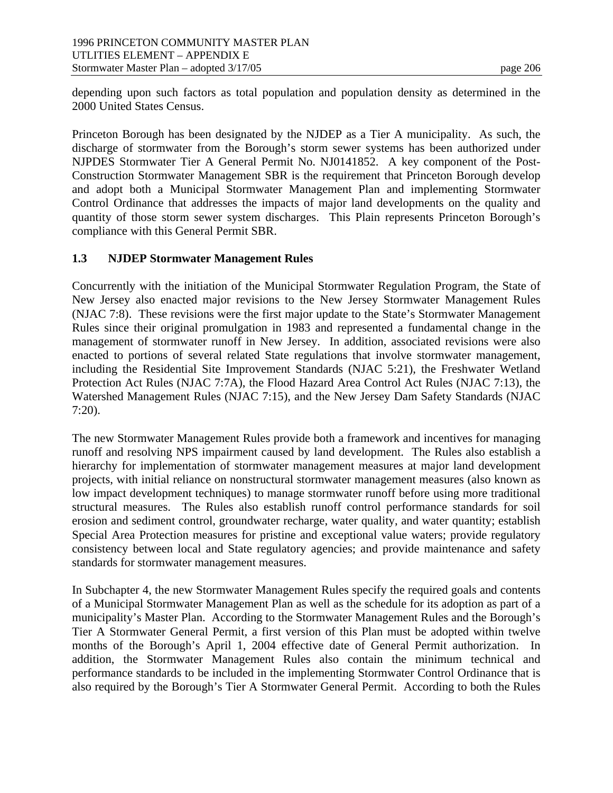depending upon such factors as total population and population density as determined in the 2000 United States Census.

Princeton Borough has been designated by the NJDEP as a Tier A municipality. As such, the discharge of stormwater from the Borough's storm sewer systems has been authorized under NJPDES Stormwater Tier A General Permit No. NJ0141852. A key component of the Post-Construction Stormwater Management SBR is the requirement that Princeton Borough develop and adopt both a Municipal Stormwater Management Plan and implementing Stormwater Control Ordinance that addresses the impacts of major land developments on the quality and quantity of those storm sewer system discharges. This Plain represents Princeton Borough's compliance with this General Permit SBR.

## **1.3 NJDEP Stormwater Management Rules**

Concurrently with the initiation of the Municipal Stormwater Regulation Program, the State of New Jersey also enacted major revisions to the New Jersey Stormwater Management Rules (NJAC 7:8). These revisions were the first major update to the State's Stormwater Management Rules since their original promulgation in 1983 and represented a fundamental change in the management of stormwater runoff in New Jersey. In addition, associated revisions were also enacted to portions of several related State regulations that involve stormwater management, including the Residential Site Improvement Standards (NJAC 5:21), the Freshwater Wetland Protection Act Rules (NJAC 7:7A), the Flood Hazard Area Control Act Rules (NJAC 7:13), the Watershed Management Rules (NJAC 7:15), and the New Jersey Dam Safety Standards (NJAC 7:20).

The new Stormwater Management Rules provide both a framework and incentives for managing runoff and resolving NPS impairment caused by land development. The Rules also establish a hierarchy for implementation of stormwater management measures at major land development projects, with initial reliance on nonstructural stormwater management measures (also known as low impact development techniques) to manage stormwater runoff before using more traditional structural measures. The Rules also establish runoff control performance standards for soil erosion and sediment control, groundwater recharge, water quality, and water quantity; establish Special Area Protection measures for pristine and exceptional value waters; provide regulatory consistency between local and State regulatory agencies; and provide maintenance and safety standards for stormwater management measures.

In Subchapter 4, the new Stormwater Management Rules specify the required goals and contents of a Municipal Stormwater Management Plan as well as the schedule for its adoption as part of a municipality's Master Plan. According to the Stormwater Management Rules and the Borough's Tier A Stormwater General Permit, a first version of this Plan must be adopted within twelve months of the Borough's April 1, 2004 effective date of General Permit authorization. In addition, the Stormwater Management Rules also contain the minimum technical and performance standards to be included in the implementing Stormwater Control Ordinance that is also required by the Borough's Tier A Stormwater General Permit. According to both the Rules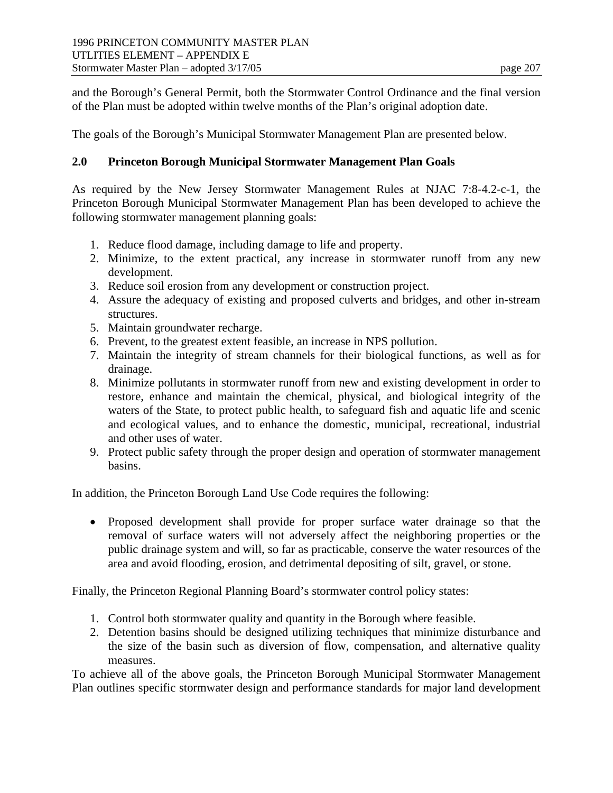and the Borough's General Permit, both the Stormwater Control Ordinance and the final version of the Plan must be adopted within twelve months of the Plan's original adoption date.

The goals of the Borough's Municipal Stormwater Management Plan are presented below.

## **2.0 Princeton Borough Municipal Stormwater Management Plan Goals**

As required by the New Jersey Stormwater Management Rules at NJAC 7:8-4.2-c-1, the Princeton Borough Municipal Stormwater Management Plan has been developed to achieve the following stormwater management planning goals:

- 1. Reduce flood damage, including damage to life and property.
- 2. Minimize, to the extent practical, any increase in stormwater runoff from any new development.
- 3. Reduce soil erosion from any development or construction project.
- 4. Assure the adequacy of existing and proposed culverts and bridges, and other in-stream structures.
- 5. Maintain groundwater recharge.
- 6. Prevent, to the greatest extent feasible, an increase in NPS pollution.
- 7. Maintain the integrity of stream channels for their biological functions, as well as for drainage.
- 8. Minimize pollutants in stormwater runoff from new and existing development in order to restore, enhance and maintain the chemical, physical, and biological integrity of the waters of the State, to protect public health, to safeguard fish and aquatic life and scenic and ecological values, and to enhance the domestic, municipal, recreational, industrial and other uses of water.
- 9. Protect public safety through the proper design and operation of stormwater management basins.

In addition, the Princeton Borough Land Use Code requires the following:

• Proposed development shall provide for proper surface water drainage so that the removal of surface waters will not adversely affect the neighboring properties or the public drainage system and will, so far as practicable, conserve the water resources of the area and avoid flooding, erosion, and detrimental depositing of silt, gravel, or stone.

Finally, the Princeton Regional Planning Board's stormwater control policy states:

- 1. Control both stormwater quality and quantity in the Borough where feasible.
- 2. Detention basins should be designed utilizing techniques that minimize disturbance and the size of the basin such as diversion of flow, compensation, and alternative quality measures.

To achieve all of the above goals, the Princeton Borough Municipal Stormwater Management Plan outlines specific stormwater design and performance standards for major land development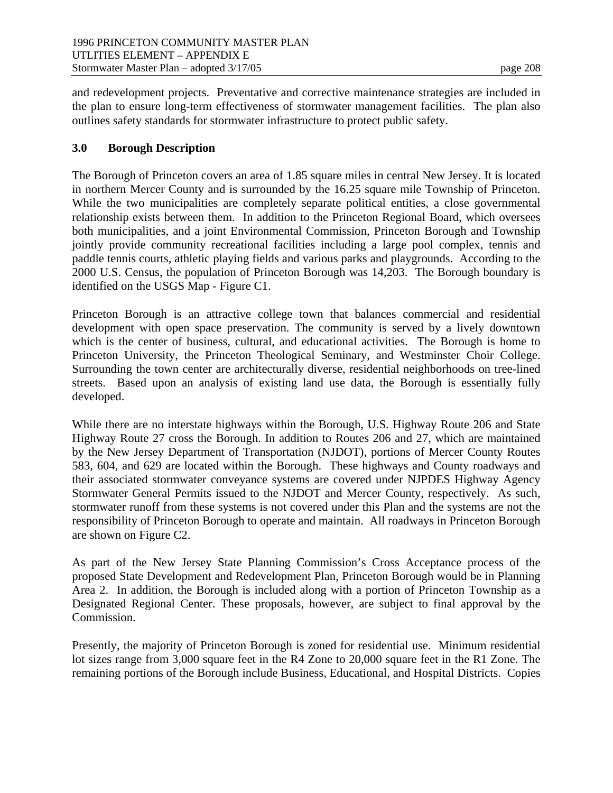and redevelopment projects. Preventative and corrective maintenance strategies are included in the plan to ensure long-term effectiveness of stormwater management facilities. The plan also outlines safety standards for stormwater infrastructure to protect public safety.

## **3.0 Borough Description**

The Borough of Princeton covers an area of 1.85 square miles in central New Jersey. It is located in northern Mercer County and is surrounded by the 16.25 square mile Township of Princeton. While the two municipalities are completely separate political entities, a close governmental relationship exists between them. In addition to the Princeton Regional Board, which oversees both municipalities, and a joint Environmental Commission, Princeton Borough and Township jointly provide community recreational facilities including a large pool complex, tennis and paddle tennis courts, athletic playing fields and various parks and playgrounds. According to the 2000 U.S. Census, the population of Princeton Borough was 14,203. The Borough boundary is identified on the USGS Map - Figure C1.

Princeton Borough is an attractive college town that balances commercial and residential development with open space preservation. The community is served by a lively downtown which is the center of business, cultural, and educational activities. The Borough is home to Princeton University, the Princeton Theological Seminary, and Westminster Choir College. Surrounding the town center are architecturally diverse, residential neighborhoods on tree-lined streets. Based upon an analysis of existing land use data, the Borough is essentially fully developed.

While there are no interstate highways within the Borough, U.S. Highway Route 206 and State Highway Route 27 cross the Borough. In addition to Routes 206 and 27, which are maintained by the New Jersey Department of Transportation (NJDOT), portions of Mercer County Routes 583, 604, and 629 are located within the Borough. These highways and County roadways and their associated stormwater conveyance systems are covered under NJPDES Highway Agency Stormwater General Permits issued to the NJDOT and Mercer County, respectively. As such, stormwater runoff from these systems is not covered under this Plan and the systems are not the responsibility of Princeton Borough to operate and maintain. All roadways in Princeton Borough are shown on Figure C2.

As part of the New Jersey State Planning Commission's Cross Acceptance process of the proposed State Development and Redevelopment Plan, Princeton Borough would be in Planning Area 2. In addition, the Borough is included along with a portion of Princeton Township as a Designated Regional Center. These proposals, however, are subject to final approval by the Commission.

Presently, the majority of Princeton Borough is zoned for residential use. Minimum residential lot sizes range from 3,000 square feet in the R4 Zone to 20,000 square feet in the R1 Zone. The remaining portions of the Borough include Business, Educational, and Hospital Districts. Copies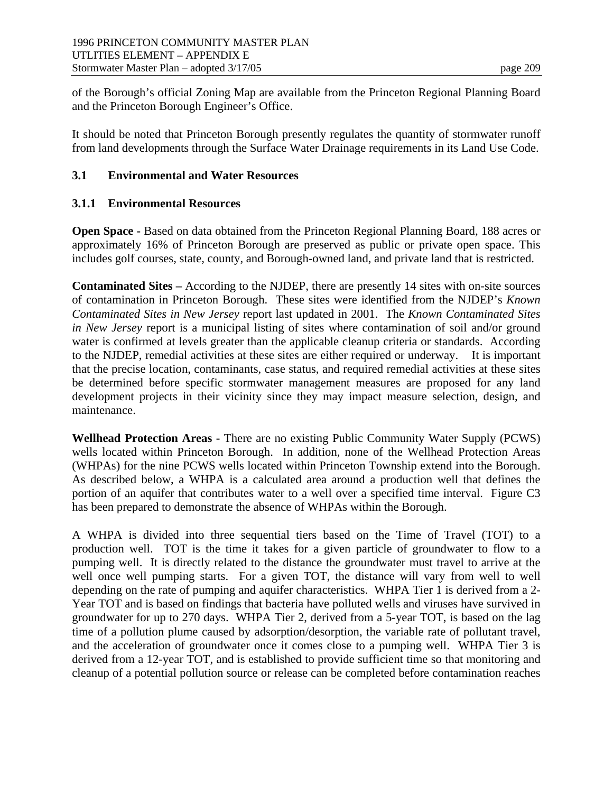of the Borough's official Zoning Map are available from the Princeton Regional Planning Board and the Princeton Borough Engineer's Office.

It should be noted that Princeton Borough presently regulates the quantity of stormwater runoff from land developments through the Surface Water Drainage requirements in its Land Use Code.

## **3.1 Environmental and Water Resources**

## **3.1.1 Environmental Resources**

**Open Space -** Based on data obtained from the Princeton Regional Planning Board, 188 acres or approximately 16% of Princeton Borough are preserved as public or private open space. This includes golf courses, state, county, and Borough-owned land, and private land that is restricted.

**Contaminated Sites –** According to the NJDEP, there are presently 14 sites with on-site sources of contamination in Princeton Borough. These sites were identified from the NJDEP's *Known Contaminated Sites in New Jersey* report last updated in 2001. The *Known Contaminated Sites in New Jersey* report is a municipal listing of sites where contamination of soil and/or ground water is confirmed at levels greater than the applicable cleanup criteria or standards. According to the NJDEP, remedial activities at these sites are either required or underway. It is important that the precise location, contaminants, case status, and required remedial activities at these sites be determined before specific stormwater management measures are proposed for any land development projects in their vicinity since they may impact measure selection, design, and maintenance.

**Wellhead Protection Areas -** There are no existing Public Community Water Supply (PCWS) wells located within Princeton Borough. In addition, none of the Wellhead Protection Areas (WHPAs) for the nine PCWS wells located within Princeton Township extend into the Borough. As described below, a WHPA is a calculated area around a production well that defines the portion of an aquifer that contributes water to a well over a specified time interval. Figure C3 has been prepared to demonstrate the absence of WHPAs within the Borough.

A WHPA is divided into three sequential tiers based on the Time of Travel (TOT) to a production well. TOT is the time it takes for a given particle of groundwater to flow to a pumping well. It is directly related to the distance the groundwater must travel to arrive at the well once well pumping starts. For a given TOT, the distance will vary from well to well depending on the rate of pumping and aquifer characteristics. WHPA Tier 1 is derived from a 2- Year TOT and is based on findings that bacteria have polluted wells and viruses have survived in groundwater for up to 270 days. WHPA Tier 2, derived from a 5-year TOT, is based on the lag time of a pollution plume caused by adsorption/desorption, the variable rate of pollutant travel, and the acceleration of groundwater once it comes close to a pumping well. WHPA Tier 3 is derived from a 12-year TOT, and is established to provide sufficient time so that monitoring and cleanup of a potential pollution source or release can be completed before contamination reaches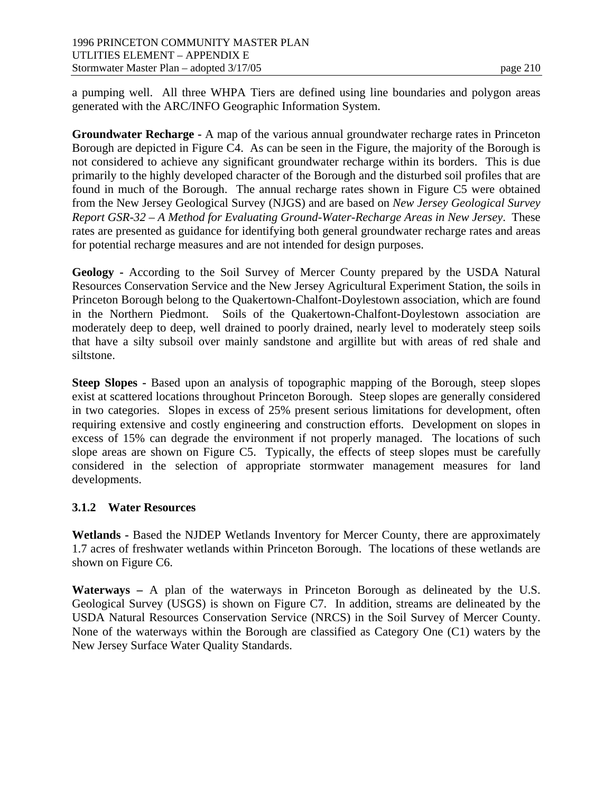a pumping well. All three WHPA Tiers are defined using line boundaries and polygon areas generated with the ARC/INFO Geographic Information System.

**Groundwater Recharge -** A map of the various annual groundwater recharge rates in Princeton Borough are depicted in Figure C4. As can be seen in the Figure, the majority of the Borough is not considered to achieve any significant groundwater recharge within its borders. This is due primarily to the highly developed character of the Borough and the disturbed soil profiles that are found in much of the Borough. The annual recharge rates shown in Figure C5 were obtained from the New Jersey Geological Survey (NJGS) and are based on *New Jersey Geological Survey Report GSR-32 – A Method for Evaluating Ground-Water-Recharge Areas in New Jersey*. These rates are presented as guidance for identifying both general groundwater recharge rates and areas for potential recharge measures and are not intended for design purposes.

**Geology -** According to the Soil Survey of Mercer County prepared by the USDA Natural Resources Conservation Service and the New Jersey Agricultural Experiment Station, the soils in Princeton Borough belong to the Quakertown-Chalfont-Doylestown association, which are found in the Northern Piedmont. Soils of the Quakertown-Chalfont-Doylestown association are moderately deep to deep, well drained to poorly drained, nearly level to moderately steep soils that have a silty subsoil over mainly sandstone and argillite but with areas of red shale and siltstone.

**Steep Slopes -** Based upon an analysis of topographic mapping of the Borough, steep slopes exist at scattered locations throughout Princeton Borough. Steep slopes are generally considered in two categories. Slopes in excess of 25% present serious limitations for development, often requiring extensive and costly engineering and construction efforts. Development on slopes in excess of 15% can degrade the environment if not properly managed. The locations of such slope areas are shown on Figure C5. Typically, the effects of steep slopes must be carefully considered in the selection of appropriate stormwater management measures for land developments.

# **3.1.2 Water Resources**

**Wetlands -** Based the NJDEP Wetlands Inventory for Mercer County, there are approximately 1.7 acres of freshwater wetlands within Princeton Borough. The locations of these wetlands are shown on Figure C6.

**Waterways –** A plan of the waterways in Princeton Borough as delineated by the U.S. Geological Survey (USGS) is shown on Figure C7. In addition, streams are delineated by the USDA Natural Resources Conservation Service (NRCS) in the Soil Survey of Mercer County. None of the waterways within the Borough are classified as Category One (C1) waters by the New Jersey Surface Water Quality Standards.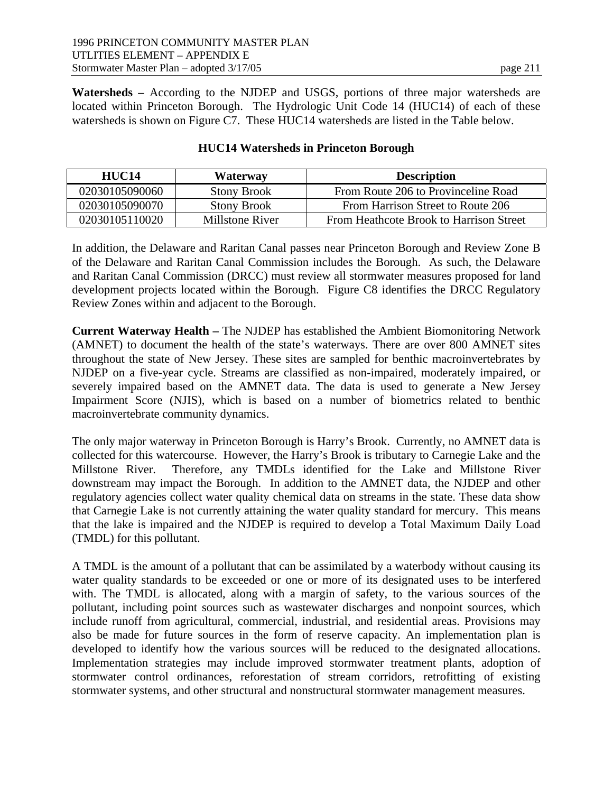**Watersheds –** According to the NJDEP and USGS, portions of three major watersheds are located within Princeton Borough. The Hydrologic Unit Code 14 (HUC14) of each of these watersheds is shown on Figure C7. These HUC14 watersheds are listed in the Table below.

| HUC14          | Waterway           | <b>Description</b>                      |
|----------------|--------------------|-----------------------------------------|
| 02030105090060 | <b>Stony Brook</b> | From Route 206 to Provinceline Road     |
| 02030105090070 | <b>Stony Brook</b> | From Harrison Street to Route 206       |
| 02030105110020 | Millstone River    | From Heathcote Brook to Harrison Street |

#### **HUC14 Watersheds in Princeton Borough**

In addition, the Delaware and Raritan Canal passes near Princeton Borough and Review Zone B of the Delaware and Raritan Canal Commission includes the Borough. As such, the Delaware and Raritan Canal Commission (DRCC) must review all stormwater measures proposed for land development projects located within the Borough. Figure C8 identifies the DRCC Regulatory Review Zones within and adjacent to the Borough.

**Current Waterway Health –** The NJDEP has established the Ambient Biomonitoring Network (AMNET) to document the health of the state's waterways. There are over 800 AMNET sites throughout the state of New Jersey. These sites are sampled for benthic macroinvertebrates by NJDEP on a five-year cycle. Streams are classified as non-impaired, moderately impaired, or severely impaired based on the AMNET data. The data is used to generate a New Jersey Impairment Score (NJIS), which is based on a number of biometrics related to benthic macroinvertebrate community dynamics.

The only major waterway in Princeton Borough is Harry's Brook. Currently, no AMNET data is collected for this watercourse. However, the Harry's Brook is tributary to Carnegie Lake and the Millstone River. Therefore, any TMDLs identified for the Lake and Millstone River downstream may impact the Borough. In addition to the AMNET data, the NJDEP and other regulatory agencies collect water quality chemical data on streams in the state. These data show that Carnegie Lake is not currently attaining the water quality standard for mercury. This means that the lake is impaired and the NJDEP is required to develop a Total Maximum Daily Load (TMDL) for this pollutant.

A TMDL is the amount of a pollutant that can be assimilated by a waterbody without causing its water quality standards to be exceeded or one or more of its designated uses to be interfered with. The TMDL is allocated, along with a margin of safety, to the various sources of the pollutant, including point sources such as wastewater discharges and nonpoint sources, which include runoff from agricultural, commercial, industrial, and residential areas. Provisions may also be made for future sources in the form of reserve capacity. An implementation plan is developed to identify how the various sources will be reduced to the designated allocations. Implementation strategies may include improved stormwater treatment plants, adoption of stormwater control ordinances, reforestation of stream corridors, retrofitting of existing stormwater systems, and other structural and nonstructural stormwater management measures.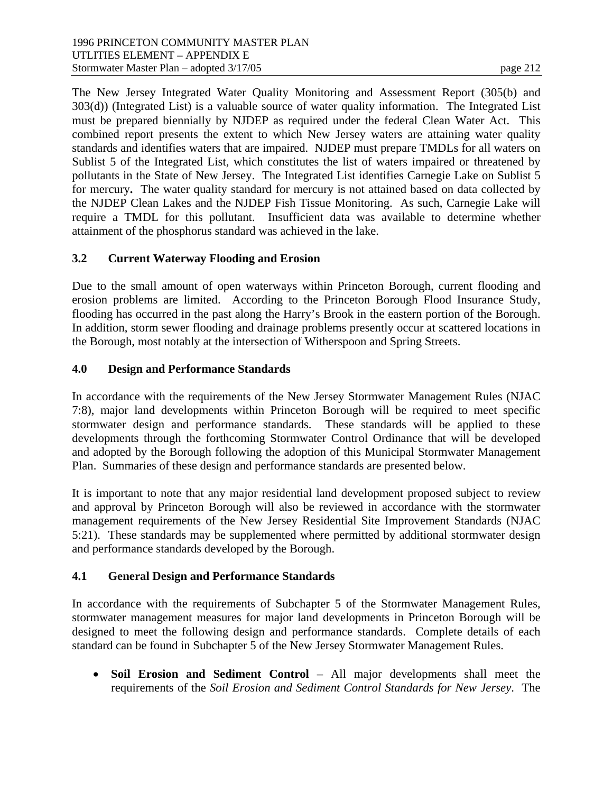The New Jersey Integrated Water Quality Monitoring and Assessment Report (305(b) and 303(d)) (Integrated List) is a valuable source of water quality information. The Integrated List must be prepared biennially by NJDEP as required under the federal Clean Water Act. This combined report presents the extent to which New Jersey waters are attaining water quality standards and identifies waters that are impaired. NJDEP must prepare TMDLs for all waters on Sublist 5 of the Integrated List, which constitutes the list of waters impaired or threatened by pollutants in the State of New Jersey. The Integrated List identifies Carnegie Lake on Sublist 5 for mercury**.** The water quality standard for mercury is not attained based on data collected by the NJDEP Clean Lakes and the NJDEP Fish Tissue Monitoring. As such, Carnegie Lake will require a TMDL for this pollutant. Insufficient data was available to determine whether attainment of the phosphorus standard was achieved in the lake.

# **3.2 Current Waterway Flooding and Erosion**

Due to the small amount of open waterways within Princeton Borough, current flooding and erosion problems are limited. According to the Princeton Borough Flood Insurance Study, flooding has occurred in the past along the Harry's Brook in the eastern portion of the Borough. In addition, storm sewer flooding and drainage problems presently occur at scattered locations in the Borough, most notably at the intersection of Witherspoon and Spring Streets.

# **4.0 Design and Performance Standards**

In accordance with the requirements of the New Jersey Stormwater Management Rules (NJAC 7:8), major land developments within Princeton Borough will be required to meet specific stormwater design and performance standards. These standards will be applied to these developments through the forthcoming Stormwater Control Ordinance that will be developed and adopted by the Borough following the adoption of this Municipal Stormwater Management Plan. Summaries of these design and performance standards are presented below.

It is important to note that any major residential land development proposed subject to review and approval by Princeton Borough will also be reviewed in accordance with the stormwater management requirements of the New Jersey Residential Site Improvement Standards (NJAC 5:21). These standards may be supplemented where permitted by additional stormwater design and performance standards developed by the Borough.

# **4.1 General Design and Performance Standards**

In accordance with the requirements of Subchapter 5 of the Stormwater Management Rules, stormwater management measures for major land developments in Princeton Borough will be designed to meet the following design and performance standards. Complete details of each standard can be found in Subchapter 5 of the New Jersey Stormwater Management Rules.

 **Soil Erosion and Sediment Control** – All major developments shall meet the requirements of the *Soil Erosion and Sediment Control Standards for New Jersey*. The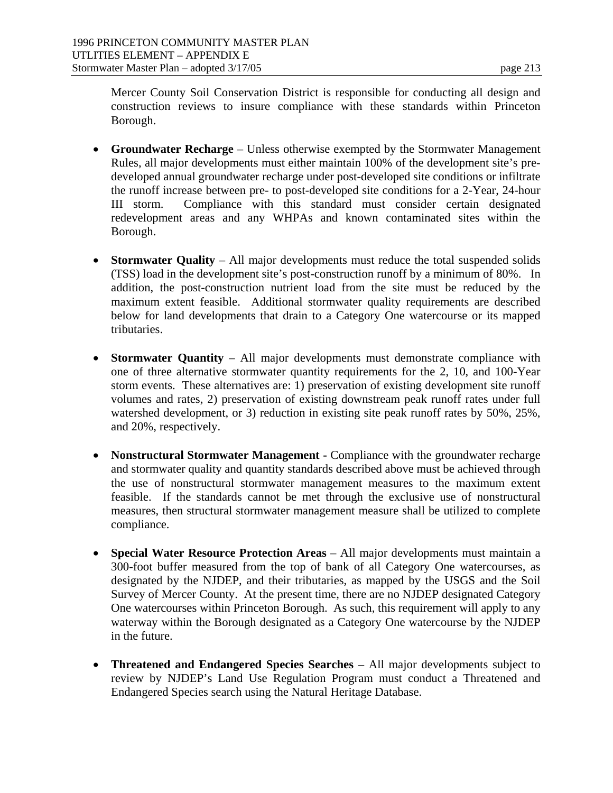Mercer County Soil Conservation District is responsible for conducting all design and construction reviews to insure compliance with these standards within Princeton Borough.

- **Groundwater Recharge** Unless otherwise exempted by the Stormwater Management Rules, all major developments must either maintain 100% of the development site's predeveloped annual groundwater recharge under post-developed site conditions or infiltrate the runoff increase between pre- to post-developed site conditions for a 2-Year, 24-hour III storm. Compliance with this standard must consider certain designated redevelopment areas and any WHPAs and known contaminated sites within the Borough.
- **Stormwater Quality** All major developments must reduce the total suspended solids (TSS) load in the development site's post-construction runoff by a minimum of 80%. In addition, the post-construction nutrient load from the site must be reduced by the maximum extent feasible. Additional stormwater quality requirements are described below for land developments that drain to a Category One watercourse or its mapped tributaries.
- **Stormwater Quantity** All major developments must demonstrate compliance with one of three alternative stormwater quantity requirements for the 2, 10, and 100-Year storm events. These alternatives are: 1) preservation of existing development site runoff volumes and rates, 2) preservation of existing downstream peak runoff rates under full watershed development, or 3) reduction in existing site peak runoff rates by 50%, 25%, and 20%, respectively.
- **Nonstructural Stormwater Management -** Compliance with the groundwater recharge and stormwater quality and quantity standards described above must be achieved through the use of nonstructural stormwater management measures to the maximum extent feasible. If the standards cannot be met through the exclusive use of nonstructural measures, then structural stormwater management measure shall be utilized to complete compliance.
- Special Water Resource Protection Areas All major developments must maintain a 300-foot buffer measured from the top of bank of all Category One watercourses, as designated by the NJDEP, and their tributaries, as mapped by the USGS and the Soil Survey of Mercer County. At the present time, there are no NJDEP designated Category One watercourses within Princeton Borough. As such, this requirement will apply to any waterway within the Borough designated as a Category One watercourse by the NJDEP in the future.
- **Threatened and Endangered Species Searches**  All major developments subject to review by NJDEP's Land Use Regulation Program must conduct a Threatened and Endangered Species search using the Natural Heritage Database.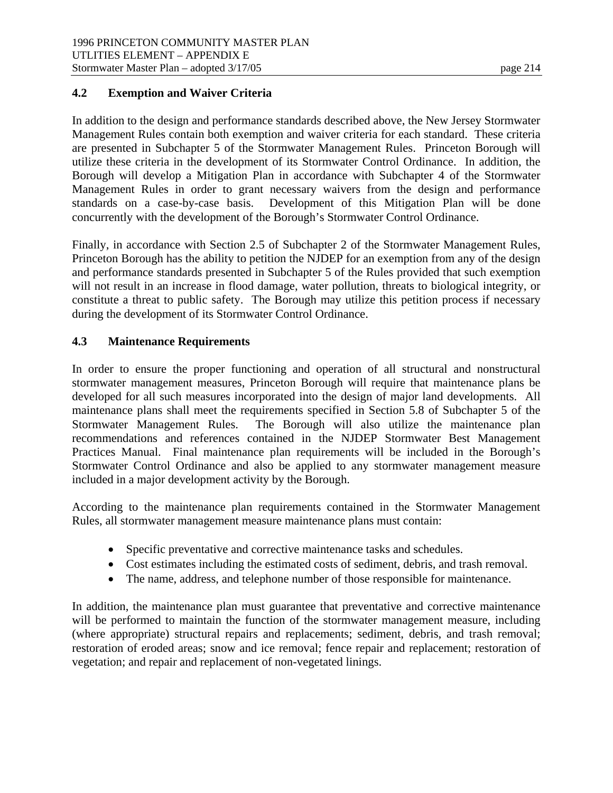## **4.2 Exemption and Waiver Criteria**

In addition to the design and performance standards described above, the New Jersey Stormwater Management Rules contain both exemption and waiver criteria for each standard. These criteria are presented in Subchapter 5 of the Stormwater Management Rules. Princeton Borough will utilize these criteria in the development of its Stormwater Control Ordinance. In addition, the Borough will develop a Mitigation Plan in accordance with Subchapter 4 of the Stormwater Management Rules in order to grant necessary waivers from the design and performance standards on a case-by-case basis. Development of this Mitigation Plan will be done concurrently with the development of the Borough's Stormwater Control Ordinance.

Finally, in accordance with Section 2.5 of Subchapter 2 of the Stormwater Management Rules, Princeton Borough has the ability to petition the NJDEP for an exemption from any of the design and performance standards presented in Subchapter 5 of the Rules provided that such exemption will not result in an increase in flood damage, water pollution, threats to biological integrity, or constitute a threat to public safety. The Borough may utilize this petition process if necessary during the development of its Stormwater Control Ordinance.

# **4.3 Maintenance Requirements**

In order to ensure the proper functioning and operation of all structural and nonstructural stormwater management measures, Princeton Borough will require that maintenance plans be developed for all such measures incorporated into the design of major land developments. All maintenance plans shall meet the requirements specified in Section 5.8 of Subchapter 5 of the Stormwater Management Rules. The Borough will also utilize the maintenance plan recommendations and references contained in the NJDEP Stormwater Best Management Practices Manual. Final maintenance plan requirements will be included in the Borough's Stormwater Control Ordinance and also be applied to any stormwater management measure included in a major development activity by the Borough.

According to the maintenance plan requirements contained in the Stormwater Management Rules, all stormwater management measure maintenance plans must contain:

- Specific preventative and corrective maintenance tasks and schedules.
- Cost estimates including the estimated costs of sediment, debris, and trash removal.
- The name, address, and telephone number of those responsible for maintenance.

In addition, the maintenance plan must guarantee that preventative and corrective maintenance will be performed to maintain the function of the stormwater management measure, including (where appropriate) structural repairs and replacements; sediment, debris, and trash removal; restoration of eroded areas; snow and ice removal; fence repair and replacement; restoration of vegetation; and repair and replacement of non-vegetated linings.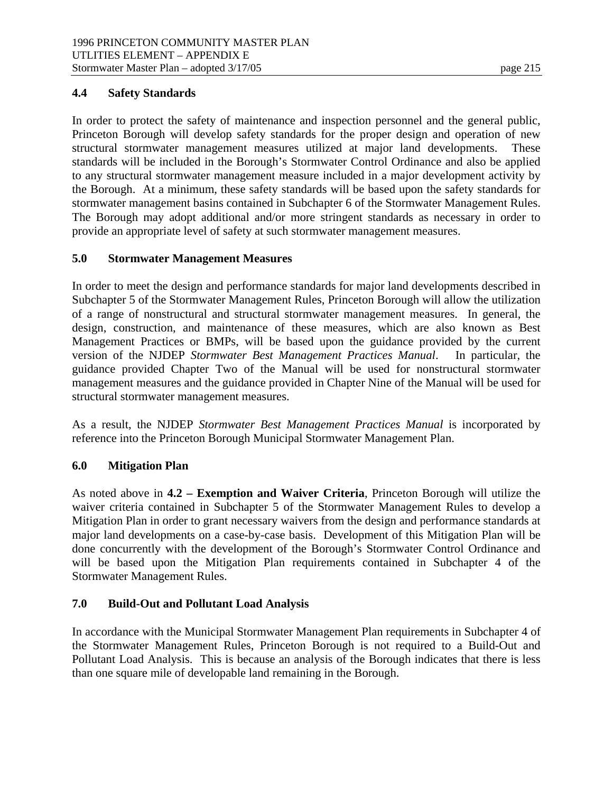#### **4.4 Safety Standards**

In order to protect the safety of maintenance and inspection personnel and the general public, Princeton Borough will develop safety standards for the proper design and operation of new structural stormwater management measures utilized at major land developments. These standards will be included in the Borough's Stormwater Control Ordinance and also be applied to any structural stormwater management measure included in a major development activity by the Borough. At a minimum, these safety standards will be based upon the safety standards for stormwater management basins contained in Subchapter 6 of the Stormwater Management Rules. The Borough may adopt additional and/or more stringent standards as necessary in order to provide an appropriate level of safety at such stormwater management measures.

## **5.0 Stormwater Management Measures**

In order to meet the design and performance standards for major land developments described in Subchapter 5 of the Stormwater Management Rules, Princeton Borough will allow the utilization of a range of nonstructural and structural stormwater management measures. In general, the design, construction, and maintenance of these measures, which are also known as Best Management Practices or BMPs, will be based upon the guidance provided by the current version of the NJDEP *Stormwater Best Management Practices Manual*. In particular, the guidance provided Chapter Two of the Manual will be used for nonstructural stormwater management measures and the guidance provided in Chapter Nine of the Manual will be used for structural stormwater management measures.

As a result, the NJDEP *Stormwater Best Management Practices Manual* is incorporated by reference into the Princeton Borough Municipal Stormwater Management Plan.

# **6.0 Mitigation Plan**

As noted above in **4.2 – Exemption and Waiver Criteria**, Princeton Borough will utilize the waiver criteria contained in Subchapter 5 of the Stormwater Management Rules to develop a Mitigation Plan in order to grant necessary waivers from the design and performance standards at major land developments on a case-by-case basis. Development of this Mitigation Plan will be done concurrently with the development of the Borough's Stormwater Control Ordinance and will be based upon the Mitigation Plan requirements contained in Subchapter 4 of the Stormwater Management Rules.

# **7.0 Build-Out and Pollutant Load Analysis**

In accordance with the Municipal Stormwater Management Plan requirements in Subchapter 4 of the Stormwater Management Rules, Princeton Borough is not required to a Build-Out and Pollutant Load Analysis. This is because an analysis of the Borough indicates that there is less than one square mile of developable land remaining in the Borough.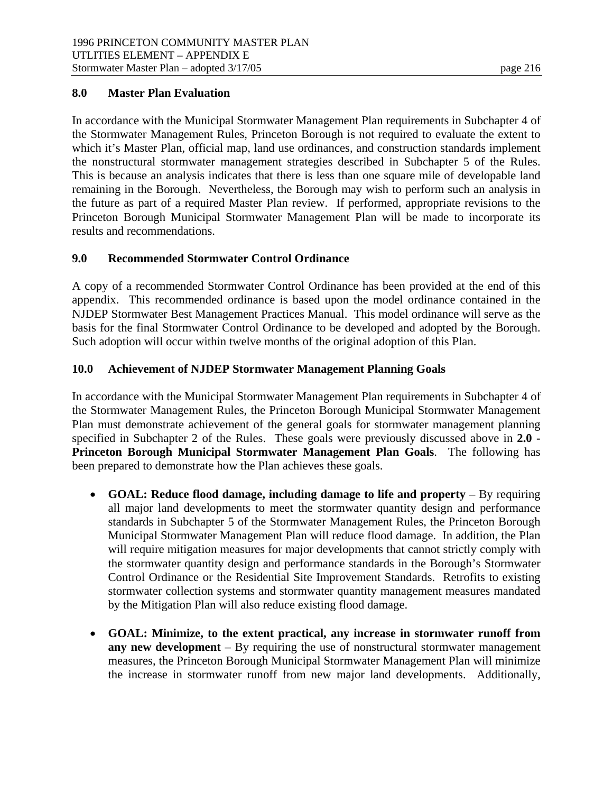## **8.0 Master Plan Evaluation**

In accordance with the Municipal Stormwater Management Plan requirements in Subchapter 4 of the Stormwater Management Rules, Princeton Borough is not required to evaluate the extent to which it's Master Plan, official map, land use ordinances, and construction standards implement the nonstructural stormwater management strategies described in Subchapter 5 of the Rules. This is because an analysis indicates that there is less than one square mile of developable land remaining in the Borough. Nevertheless, the Borough may wish to perform such an analysis in the future as part of a required Master Plan review. If performed, appropriate revisions to the Princeton Borough Municipal Stormwater Management Plan will be made to incorporate its results and recommendations.

## **9.0 Recommended Stormwater Control Ordinance**

A copy of a recommended Stormwater Control Ordinance has been provided at the end of this appendix. This recommended ordinance is based upon the model ordinance contained in the NJDEP Stormwater Best Management Practices Manual. This model ordinance will serve as the basis for the final Stormwater Control Ordinance to be developed and adopted by the Borough. Such adoption will occur within twelve months of the original adoption of this Plan.

## **10.0 Achievement of NJDEP Stormwater Management Planning Goals**

In accordance with the Municipal Stormwater Management Plan requirements in Subchapter 4 of the Stormwater Management Rules, the Princeton Borough Municipal Stormwater Management Plan must demonstrate achievement of the general goals for stormwater management planning specified in Subchapter 2 of the Rules. These goals were previously discussed above in **2.0 - Princeton Borough Municipal Stormwater Management Plan Goals**. The following has been prepared to demonstrate how the Plan achieves these goals.

- **GOAL: Reduce flood damage, including damage to life and property** By requiring all major land developments to meet the stormwater quantity design and performance standards in Subchapter 5 of the Stormwater Management Rules, the Princeton Borough Municipal Stormwater Management Plan will reduce flood damage. In addition, the Plan will require mitigation measures for major developments that cannot strictly comply with the stormwater quantity design and performance standards in the Borough's Stormwater Control Ordinance or the Residential Site Improvement Standards. Retrofits to existing stormwater collection systems and stormwater quantity management measures mandated by the Mitigation Plan will also reduce existing flood damage.
- **GOAL: Minimize, to the extent practical, any increase in stormwater runoff from any new development** – By requiring the use of nonstructural stormwater management measures, the Princeton Borough Municipal Stormwater Management Plan will minimize the increase in stormwater runoff from new major land developments. Additionally,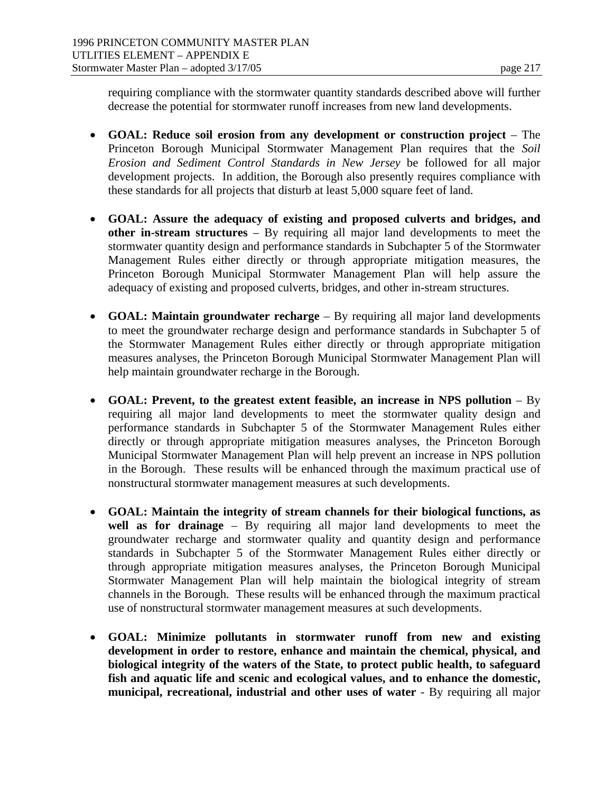requiring compliance with the stormwater quantity standards described above will further decrease the potential for stormwater runoff increases from new land developments.

- **GOAL: Reduce soil erosion from any development or construction project** The Princeton Borough Municipal Stormwater Management Plan requires that the *Soil Erosion and Sediment Control Standards in New Jersey* be followed for all major development projects. In addition, the Borough also presently requires compliance with these standards for all projects that disturb at least 5,000 square feet of land.
- **GOAL: Assure the adequacy of existing and proposed culverts and bridges, and other in-stream structures** – By requiring all major land developments to meet the stormwater quantity design and performance standards in Subchapter 5 of the Stormwater Management Rules either directly or through appropriate mitigation measures, the Princeton Borough Municipal Stormwater Management Plan will help assure the adequacy of existing and proposed culverts, bridges, and other in-stream structures.
- **GOAL: Maintain groundwater recharge**  By requiring all major land developments to meet the groundwater recharge design and performance standards in Subchapter 5 of the Stormwater Management Rules either directly or through appropriate mitigation measures analyses, the Princeton Borough Municipal Stormwater Management Plan will help maintain groundwater recharge in the Borough.
- **GOAL: Prevent, to the greatest extent feasible, an increase in NPS pollution**  By requiring all major land developments to meet the stormwater quality design and performance standards in Subchapter 5 of the Stormwater Management Rules either directly or through appropriate mitigation measures analyses, the Princeton Borough Municipal Stormwater Management Plan will help prevent an increase in NPS pollution in the Borough. These results will be enhanced through the maximum practical use of nonstructural stormwater management measures at such developments.
- **GOAL: Maintain the integrity of stream channels for their biological functions, as well as for drainage** – By requiring all major land developments to meet the groundwater recharge and stormwater quality and quantity design and performance standards in Subchapter 5 of the Stormwater Management Rules either directly or through appropriate mitigation measures analyses, the Princeton Borough Municipal Stormwater Management Plan will help maintain the biological integrity of stream channels in the Borough. These results will be enhanced through the maximum practical use of nonstructural stormwater management measures at such developments.
- **GOAL: Minimize pollutants in stormwater runoff from new and existing development in order to restore, enhance and maintain the chemical, physical, and biological integrity of the waters of the State, to protect public health, to safeguard fish and aquatic life and scenic and ecological values, and to enhance the domestic, municipal, recreational, industrial and other uses of water** - By requiring all major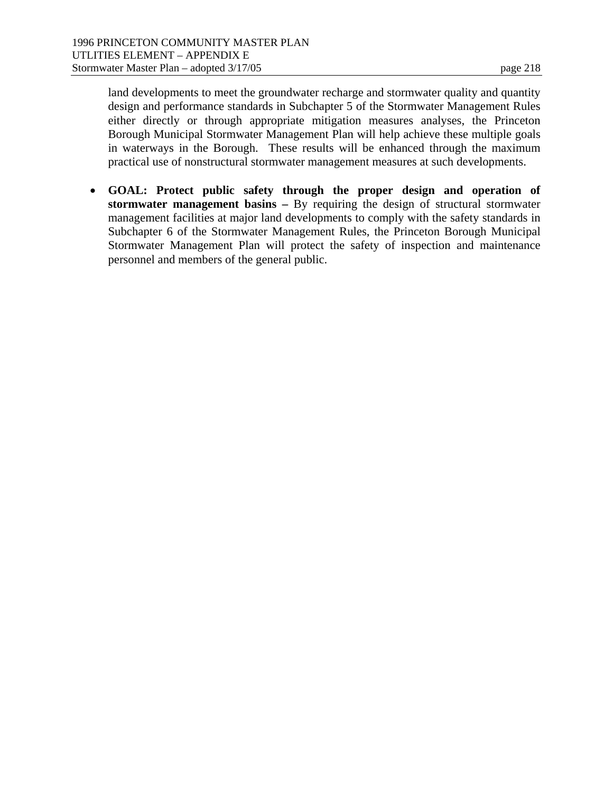land developments to meet the groundwater recharge and stormwater quality and quantity design and performance standards in Subchapter 5 of the Stormwater Management Rules either directly or through appropriate mitigation measures analyses, the Princeton Borough Municipal Stormwater Management Plan will help achieve these multiple goals in waterways in the Borough. These results will be enhanced through the maximum practical use of nonstructural stormwater management measures at such developments.

 **GOAL: Protect public safety through the proper design and operation of stormwater management basins –** By requiring the design of structural stormwater management facilities at major land developments to comply with the safety standards in Subchapter 6 of the Stormwater Management Rules, the Princeton Borough Municipal Stormwater Management Plan will protect the safety of inspection and maintenance personnel and members of the general public.